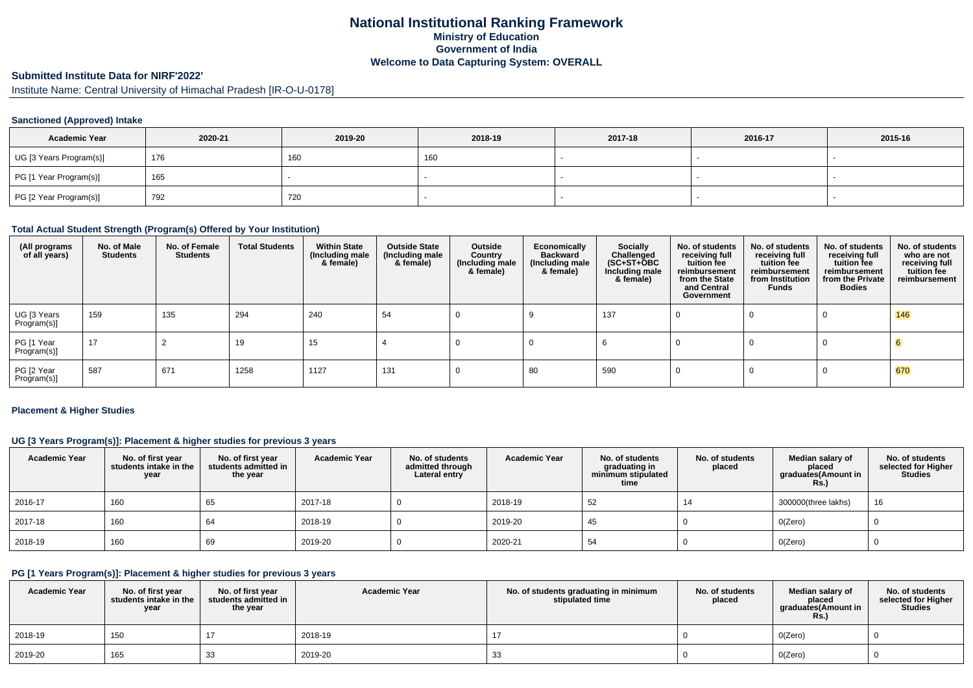## **National Institutional Ranking FrameworkMinistry of Education Government of IndiaWelcome to Data Capturing System: OVERALL**

# **Submitted Institute Data for NIRF'2022'**

Institute Name: Central University of Himachal Pradesh [IR-O-U-0178]

### **Sanctioned (Approved) Intake**

| <b>Academic Year</b>    | 2020-21 | 2019-20 | 2018-19 | 2017-18 | 2016-17 | 2015-16 |
|-------------------------|---------|---------|---------|---------|---------|---------|
| UG [3 Years Program(s)] | 176     | 160     | 160     |         |         |         |
| PG [1 Year Program(s)]  | 165     |         |         |         |         |         |
| PG [2 Year Program(s)]  | 792     | 720     |         |         |         |         |

### **Total Actual Student Strength (Program(s) Offered by Your Institution)**

| (All programs<br>of all years) | No. of Male<br><b>Students</b> | No. of Female<br><b>Students</b> | <b>Total Students</b> | <b>Within State</b><br>(Including male<br>& female) | <b>Outside State</b><br>(Including male<br>& female) | Outside<br>Country<br>(Including male<br>& female) | Economically<br><b>Backward</b><br>(Including male<br>& female) | <b>Socially</b><br>Challenged<br>$(SC+ST+\overline{O}BC)$<br>Including male<br>& female) | No. of students<br>receiving full<br>tuition fee<br>reimbursement<br>from the State<br>and Central<br>Government | No. of students<br>receiving full<br>tuition fee<br>reimbursement<br>from Institution<br><b>Funds</b> | No. of students<br>receiving full<br>tuition fee<br>reimbursement<br>from the Private<br><b>Bodies</b> | No. of students<br>who are not<br>receiving full<br>tuition fee<br>reimbursement |
|--------------------------------|--------------------------------|----------------------------------|-----------------------|-----------------------------------------------------|------------------------------------------------------|----------------------------------------------------|-----------------------------------------------------------------|------------------------------------------------------------------------------------------|------------------------------------------------------------------------------------------------------------------|-------------------------------------------------------------------------------------------------------|--------------------------------------------------------------------------------------------------------|----------------------------------------------------------------------------------|
| UG [3 Years<br>Program(s)]     | 159                            | 135                              | 294                   | 240                                                 | 54                                                   |                                                    |                                                                 | 137                                                                                      |                                                                                                                  |                                                                                                       | 0                                                                                                      | 146                                                                              |
| PG [1 Year<br>Program(s)]      | 17                             |                                  | 19                    | 15                                                  |                                                      |                                                    |                                                                 |                                                                                          |                                                                                                                  |                                                                                                       |                                                                                                        |                                                                                  |
| PG [2 Year<br>Program(s)]      | 587                            | 671                              | 1258                  | 1127                                                | 131                                                  |                                                    | 80                                                              | 590                                                                                      |                                                                                                                  |                                                                                                       |                                                                                                        | 670                                                                              |

#### **Placement & Higher Studies**

### **UG [3 Years Program(s)]: Placement & higher studies for previous 3 years**

| <b>Academic Year</b> | No. of first year<br>students intake in the<br>year | No. of first year<br>students admitted in<br>the year | <b>Academic Year</b> | No. of students<br>admitted through<br>Lateral entry | <b>Academic Year</b> | No. of students<br>graduating in<br>minimum stipulated<br>time | No. of students<br>placed | Median salary of<br>placed<br>graduates(Amount in<br>Rs. | No. of students<br>selected for Higher<br><b>Studies</b> |
|----------------------|-----------------------------------------------------|-------------------------------------------------------|----------------------|------------------------------------------------------|----------------------|----------------------------------------------------------------|---------------------------|----------------------------------------------------------|----------------------------------------------------------|
| 2016-17              | 160                                                 | 65                                                    | 2017-18              |                                                      | 2018-19              | 52                                                             | 14                        | 300000(three lakhs)                                      | 16                                                       |
| 2017-18              | 160                                                 | 64                                                    | 2018-19              |                                                      | 2019-20              | 45                                                             |                           | O(Zero)                                                  |                                                          |
| 2018-19              | 160                                                 | 69                                                    | 2019-20              |                                                      | 2020-21              | 54                                                             |                           | O(Zero)                                                  |                                                          |

### **PG [1 Years Program(s)]: Placement & higher studies for previous 3 years**

| <b>Academic Year</b> | No. of first year<br>students intake in the<br>year | No. of first year<br>students admitted in<br>the year | <b>Academic Year</b> | No. of students graduating in minimum<br>stipulated time | No. of students<br>placed | Median salary of<br>placed<br>graduates(Amount in<br><b>Rs.</b> ) | No. of students<br>selected for Higher<br><b>Studies</b> |
|----------------------|-----------------------------------------------------|-------------------------------------------------------|----------------------|----------------------------------------------------------|---------------------------|-------------------------------------------------------------------|----------------------------------------------------------|
| 2018-19              | 150                                                 |                                                       | 2018-19              |                                                          |                           | O(Zero)                                                           |                                                          |
| 2019-20              | 165                                                 | 33                                                    | 2019-20              | 33                                                       |                           | O(Zero)                                                           |                                                          |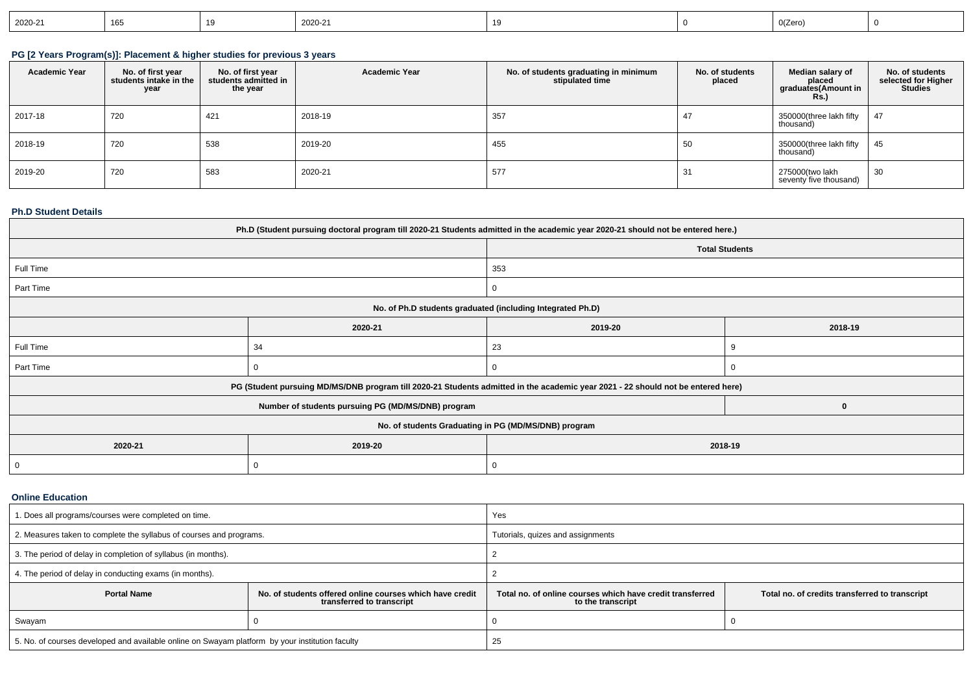| $12020 - 21$ |  | 2020-21 |  |  | 0(Zerc |  |
|--------------|--|---------|--|--|--------|--|
|--------------|--|---------|--|--|--------|--|

## **PG [2 Years Program(s)]: Placement & higher studies for previous 3 years**

| <b>Academic Year</b> | No. of first year<br>students intake in the<br>year | No. of first vear<br>students admitted in<br>the year | <b>Academic Year</b> | No. of students graduating in minimum<br>stipulated time | No. of students<br>placed | Median salary of<br>placed<br>graduates(Amount in<br><b>Rs.)</b> | No. of students<br>selected for Higher<br><b>Studies</b> |
|----------------------|-----------------------------------------------------|-------------------------------------------------------|----------------------|----------------------------------------------------------|---------------------------|------------------------------------------------------------------|----------------------------------------------------------|
| 2017-18              | 720                                                 | 421                                                   | 2018-19              | 357                                                      | 47                        | 350000(three lakh fifty<br>thousand)                             | 47                                                       |
| 2018-19              | 720                                                 | 538                                                   | 2019-20              | 455                                                      | 50                        | 350000(three lakh fifty<br>thousand)                             | 45                                                       |
| 2019-20              | 720                                                 | 583                                                   | 2020-21              | 577                                                      | 04                        | 275000(two lakh<br>seventy five thousand)                        | 30                                                       |

### **Ph.D Student Details**

| Ph.D (Student pursuing doctoral program till 2020-21 Students admitted in the academic year 2020-21 should not be entered here.) |                                                                                                                                  |                                                            |                       |  |  |  |
|----------------------------------------------------------------------------------------------------------------------------------|----------------------------------------------------------------------------------------------------------------------------------|------------------------------------------------------------|-----------------------|--|--|--|
|                                                                                                                                  |                                                                                                                                  |                                                            | <b>Total Students</b> |  |  |  |
| Full Time                                                                                                                        |                                                                                                                                  | 353                                                        |                       |  |  |  |
| Part Time                                                                                                                        |                                                                                                                                  | 0                                                          |                       |  |  |  |
|                                                                                                                                  |                                                                                                                                  | No. of Ph.D students graduated (including Integrated Ph.D) |                       |  |  |  |
|                                                                                                                                  | 2020-21                                                                                                                          | 2019-20                                                    | 2018-19               |  |  |  |
| Full Time                                                                                                                        | 34                                                                                                                               | 23                                                         |                       |  |  |  |
| Part Time                                                                                                                        |                                                                                                                                  | 0                                                          |                       |  |  |  |
|                                                                                                                                  | PG (Student pursuing MD/MS/DNB program till 2020-21 Students admitted in the academic year 2021 - 22 should not be entered here) |                                                            |                       |  |  |  |
|                                                                                                                                  | Number of students pursuing PG (MD/MS/DNB) program                                                                               |                                                            |                       |  |  |  |
|                                                                                                                                  | No. of students Graduating in PG (MD/MS/DNB) program                                                                             |                                                            |                       |  |  |  |
| 2020-21                                                                                                                          | 2019-20                                                                                                                          |                                                            | 2018-19               |  |  |  |
|                                                                                                                                  | 0                                                                                                                                |                                                            |                       |  |  |  |

#### **Online Education**

| 1. Does all programs/courses were completed on time.                                                        |  | Yes                                                                                                                              |  |  |
|-------------------------------------------------------------------------------------------------------------|--|----------------------------------------------------------------------------------------------------------------------------------|--|--|
| 2. Measures taken to complete the syllabus of courses and programs.                                         |  | Tutorials, quizes and assignments                                                                                                |  |  |
| 3. The period of delay in completion of syllabus (in months).                                               |  |                                                                                                                                  |  |  |
| 4. The period of delay in conducting exams (in months).                                                     |  |                                                                                                                                  |  |  |
| <b>Portal Name</b><br>No. of students offered online courses which have credit<br>transferred to transcript |  | Total no, of online courses which have credit transferred<br>Total no. of credits transferred to transcript<br>to the transcript |  |  |
| Swayam                                                                                                      |  |                                                                                                                                  |  |  |
| 5. No. of courses developed and available online on Swayam platform by your institution faculty             |  | 25                                                                                                                               |  |  |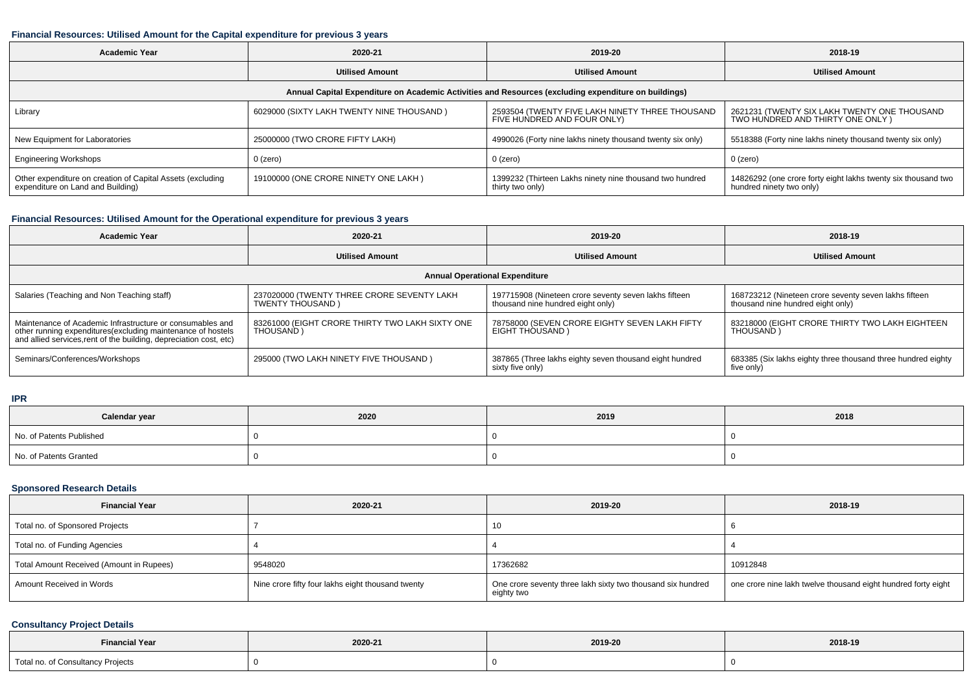### **Financial Resources: Utilised Amount for the Capital expenditure for previous 3 years**

| <b>Academic Year</b>                                                                                 | 2020-21                                   | 2019-20                                                                        | 2018-19                                                                                   |  |  |  |
|------------------------------------------------------------------------------------------------------|-------------------------------------------|--------------------------------------------------------------------------------|-------------------------------------------------------------------------------------------|--|--|--|
|                                                                                                      | <b>Utilised Amount</b>                    | <b>Utilised Amount</b>                                                         | <b>Utilised Amount</b>                                                                    |  |  |  |
| Annual Capital Expenditure on Academic Activities and Resources (excluding expenditure on buildings) |                                           |                                                                                |                                                                                           |  |  |  |
| Library                                                                                              | 6029000 (SIXTY LAKH TWENTY NINE THOUSAND) | 2593504 (TWENTY FIVE LAKH NINETY THREE THOUSAND<br>FIVE HUNDRED AND FOUR ONLY) | 2621231 (TWENTY SIX LAKH TWENTY ONE THOUSAND<br>TWO HUNDRED AND THIRTY ONE ONLY)          |  |  |  |
| New Equipment for Laboratories                                                                       | 25000000 (TWO CRORE FIFTY LAKH)           | 4990026 (Forty nine lakhs ninety thousand twenty six only)                     | 5518388 (Forty nine lakhs ninety thousand twenty six only)                                |  |  |  |
| <b>Engineering Workshops</b>                                                                         | 0 (zero)                                  | $0$ (zero)                                                                     | $0$ (zero)                                                                                |  |  |  |
| Other expenditure on creation of Capital Assets (excluding<br>expenditure on Land and Building)      | 19100000 (ONE CRORE NINETY ONE LAKH)      | 1399232 (Thirteen Lakhs ninety nine thousand two hundred<br>thirty two only)   | 14826292 (one crore forty eight lakhs twenty six thousand two<br>hundred ninety two only) |  |  |  |

## **Financial Resources: Utilised Amount for the Operational expenditure for previous 3 years**

| <b>Academic Year</b>                                                                                                                                                                           | 2020-21                                                         | 2019-20                                                                                    | 2018-19                                                                                    |  |  |  |
|------------------------------------------------------------------------------------------------------------------------------------------------------------------------------------------------|-----------------------------------------------------------------|--------------------------------------------------------------------------------------------|--------------------------------------------------------------------------------------------|--|--|--|
|                                                                                                                                                                                                | <b>Utilised Amount</b>                                          | <b>Utilised Amount</b>                                                                     | <b>Utilised Amount</b>                                                                     |  |  |  |
| <b>Annual Operational Expenditure</b>                                                                                                                                                          |                                                                 |                                                                                            |                                                                                            |  |  |  |
| Salaries (Teaching and Non Teaching staff)                                                                                                                                                     | 237020000 (TWENTY THREE CRORE SEVENTY LAKH<br>TWENTY THOUSAND ) | 197715908 (Nineteen crore seventy seven lakhs fifteen<br>thousand nine hundred eight only) | 168723212 (Nineteen crore seventy seven lakhs fifteen<br>thousand nine hundred eight only) |  |  |  |
| Maintenance of Academic Infrastructure or consumables and<br>other running expenditures(excluding maintenance of hostels<br>and allied services, rent of the building, depreciation cost, etc) | 83261000 (EIGHT CRORE THIRTY TWO LAKH SIXTY ONE<br>THOUSAND)    | 78758000 (SEVEN CRORE EIGHTY SEVEN LAKH FIFTY<br>EIGHT THOUSAND)                           | 83218000 (EIGHT CRORE THIRTY TWO LAKH EIGHTEEN<br>THOUSAND)                                |  |  |  |
| Seminars/Conferences/Workshops                                                                                                                                                                 | 295000 (TWO LAKH NINETY FIVE THOUSAND)                          | 387865 (Three lakhs eighty seven thousand eight hundred<br>sixty five only)                | 683385 (Six lakhs eighty three thousand three hundred eighty<br>five only)                 |  |  |  |

#### **IPR**

| Calendar year            | 2020 | 2019 | 2018 |
|--------------------------|------|------|------|
| No. of Patents Published |      |      |      |
| No. of Patents Granted   |      |      |      |

### **Sponsored Research Details**

| <b>Financial Year</b>                    | 2020-21                                           | 2019-20                                                                   | 2018-19                                                       |
|------------------------------------------|---------------------------------------------------|---------------------------------------------------------------------------|---------------------------------------------------------------|
| Total no. of Sponsored Projects          |                                                   | 10                                                                        |                                                               |
| Total no. of Funding Agencies            |                                                   |                                                                           |                                                               |
| Total Amount Received (Amount in Rupees) | 9548020                                           | 17362682                                                                  | 10912848                                                      |
| Amount Received in Words                 | Nine crore fifty four lakhs eight thousand twenty | One crore seventy three lakh sixty two thousand six hundred<br>eighty two | one crore nine lakh twelve thousand eight hundred forty eight |

## **Consultancy Project Details**

| <b>Financial Year</b>                                                                                           |         |         |         |
|-----------------------------------------------------------------------------------------------------------------|---------|---------|---------|
| the contract of the contract of the contract of the contract of the contract of the contract of the contract of | 2020-21 | 2019-20 | 2018-19 |
| Total no. of Consultancy Projects                                                                               |         |         |         |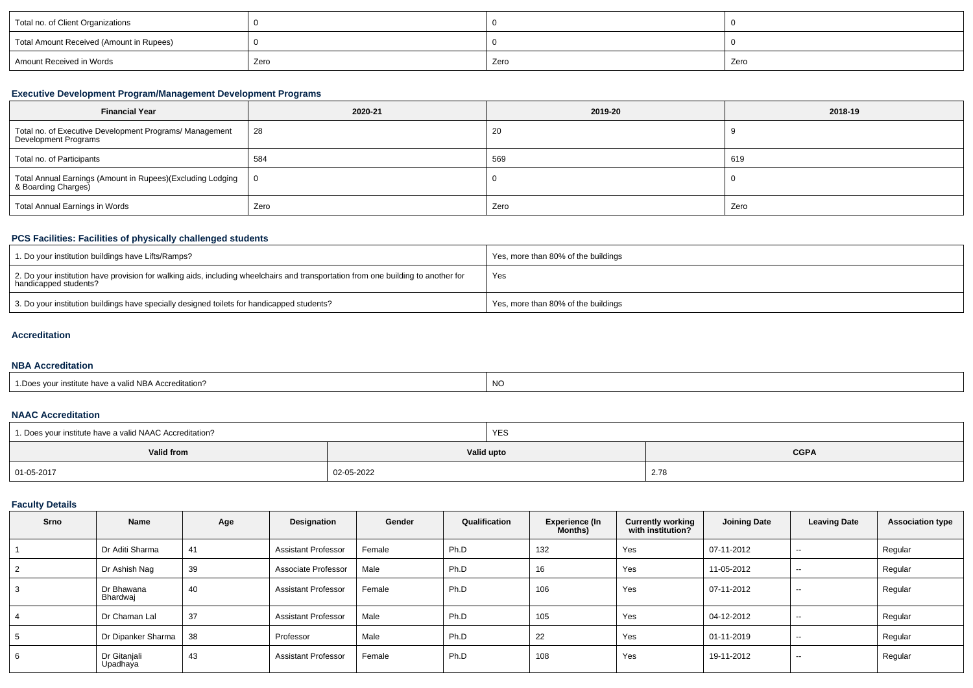| Total no. of Client Organizations        |      |      |      |
|------------------------------------------|------|------|------|
| Total Amount Received (Amount in Rupees) |      |      |      |
| Amount Received in Words                 | Zero | Zero | Zero |

## **Executive Development Program/Management Development Programs**

| <b>Financial Year</b>                                                             | 2020-21       | 2019-20 | 2018-19 |
|-----------------------------------------------------------------------------------|---------------|---------|---------|
| Total no. of Executive Development Programs/ Management<br>Development Programs   | $^{\circ}$ 28 | -20     |         |
| Total no. of Participants                                                         | 584           | 569     | 619     |
| Total Annual Earnings (Amount in Rupees)(Excluding Lodging<br>& Boarding Charges) | - 0           |         |         |
| Total Annual Earnings in Words                                                    | Zero          | Zero    | Zero    |

## **PCS Facilities: Facilities of physically challenged students**

| 1. Do your institution buildings have Lifts/Ramps?                                                                                                         | Yes, more than 80% of the buildings |
|------------------------------------------------------------------------------------------------------------------------------------------------------------|-------------------------------------|
| 2. Do your institution have provision for walking aids, including wheelchairs and transportation from one building to another for<br>handicapped students? | Yes                                 |
| 3. Do your institution buildings have specially designed toilets for handicapped students?                                                                 | Yes, more than 80% of the buildings |

## **Accreditation**

#### **NBA Accreditation**

| <b>NO</b><br>Accreditation?<br>- valid NBA .<br>: nave : |  |
|----------------------------------------------------------|--|
|----------------------------------------------------------|--|

#### **NAAC Accreditation**

| 1. Does your institute have a valid NAAC Accreditation? |            | YES        |             |
|---------------------------------------------------------|------------|------------|-------------|
| Valid from                                              |            | Valid upto | <b>CGPA</b> |
| 01-05-2017                                              | 02-05-2022 |            | 2.78        |

## **Faculty Details**

| Srno           | Name                     | Age | Designation                | Gender | Qualification | <b>Experience (In</b><br><b>Months</b> ) | <b>Currently working</b><br>with institution? | <b>Joining Date</b> | <b>Leaving Date</b> | <b>Association type</b> |
|----------------|--------------------------|-----|----------------------------|--------|---------------|------------------------------------------|-----------------------------------------------|---------------------|---------------------|-------------------------|
|                | Dr Aditi Sharma          | 41  | <b>Assistant Professor</b> | Female | Ph.D          | 132                                      | Yes                                           | 07-11-2012          | $- -$               | Regular                 |
| $\overline{2}$ | Dr Ashish Nag            | 39  | Associate Professor        | Male   | Ph.D          | 16                                       | Yes                                           | 11-05-2012          | $\sim$              | Regular                 |
| 3              | Dr Bhawana<br>Bhardwaj   | 40  | <b>Assistant Professor</b> | Female | Ph.D          | 106                                      | Yes                                           | 07-11-2012          | $\sim$              | Regular                 |
| 4              | Dr Chaman Lal            | 37  | <b>Assistant Professor</b> | Male   | Ph.D          | 105                                      | Yes                                           | 04-12-2012          | $- -$               | Regular                 |
| 5              | Dr Dipanker Sharma       | 38  | Professor                  | Male   | Ph.D          | 22                                       | Yes                                           | 01-11-2019          | $\sim$              | Regular                 |
| 6              | Dr Gitanjali<br>Upadhaya | 43  | <b>Assistant Professor</b> | Female | Ph.D          | 108                                      | Yes                                           | 19-11-2012          | $- -$               | Regular                 |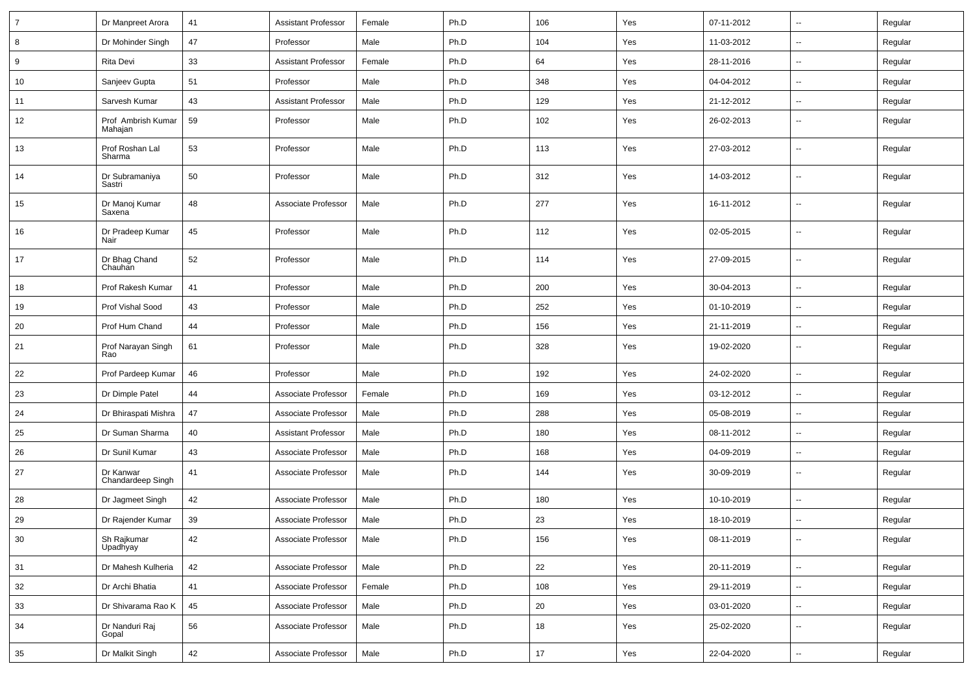| $\overline{7}$ | Dr Manpreet Arora              | 41 | <b>Assistant Professor</b> | Female | Ph.D | 106 | Yes | 07-11-2012 | $\overline{\phantom{a}}$ | Regular |
|----------------|--------------------------------|----|----------------------------|--------|------|-----|-----|------------|--------------------------|---------|
| 8              | Dr Mohinder Singh              | 47 | Professor                  | Male   | Ph.D | 104 | Yes | 11-03-2012 | ⊶.                       | Regular |
| 9              | Rita Devi                      | 33 | <b>Assistant Professor</b> | Female | Ph.D | 64  | Yes | 28-11-2016 | $\sim$                   | Regular |
| 10             | Sanjeev Gupta                  | 51 | Professor                  | Male   | Ph.D | 348 | Yes | 04-04-2012 | -−                       | Regular |
| 11             | Sarvesh Kumar                  | 43 | <b>Assistant Professor</b> | Male   | Ph.D | 129 | Yes | 21-12-2012 | --                       | Regular |
| 12             | Prof Ambrish Kumar<br>Mahajan  | 59 | Professor                  | Male   | Ph.D | 102 | Yes | 26-02-2013 | $\mathbf{u}$             | Regular |
| 13             | Prof Roshan Lal<br>Sharma      | 53 | Professor                  | Male   | Ph.D | 113 | Yes | 27-03-2012 | Ξ.                       | Regular |
| 14             | Dr Subramaniya<br>Sastri       | 50 | Professor                  | Male   | Ph.D | 312 | Yes | 14-03-2012 | Ξ.                       | Regular |
| 15             | Dr Manoj Kumar<br>Saxena       | 48 | Associate Professor        | Male   | Ph.D | 277 | Yes | 16-11-2012 | $\mathbf{u}$             | Regular |
| 16             | Dr Pradeep Kumar<br>Nair       | 45 | Professor                  | Male   | Ph.D | 112 | Yes | 02-05-2015 | Ξ.                       | Regular |
| 17             | Dr Bhag Chand<br>Chauhan       | 52 | Professor                  | Male   | Ph.D | 114 | Yes | 27-09-2015 | $\mathbf{u}$             | Regular |
| 18             | Prof Rakesh Kumar              | 41 | Professor                  | Male   | Ph.D | 200 | Yes | 30-04-2013 | $\sim$                   | Regular |
| 19             | Prof Vishal Sood               | 43 | Professor                  | Male   | Ph.D | 252 | Yes | 01-10-2019 | $\overline{\phantom{a}}$ | Regular |
| 20             | Prof Hum Chand                 | 44 | Professor                  | Male   | Ph.D | 156 | Yes | 21-11-2019 | ⊷.                       | Regular |
| 21             | Prof Narayan Singh<br>Rao      | 61 | Professor                  | Male   | Ph.D | 328 | Yes | 19-02-2020 | --                       | Regular |
| 22             | Prof Pardeep Kumar             | 46 | Professor                  | Male   | Ph.D | 192 | Yes | 24-02-2020 | --                       | Regular |
| 23             | Dr Dimple Patel                | 44 | Associate Professor        | Female | Ph.D | 169 | Yes | 03-12-2012 | -−                       | Regular |
| 24             | Dr Bhiraspati Mishra           | 47 | Associate Professor        | Male   | Ph.D | 288 | Yes | 05-08-2019 | --                       | Regular |
| 25             | Dr Suman Sharma                | 40 | <b>Assistant Professor</b> | Male   | Ph.D | 180 | Yes | 08-11-2012 | -−                       | Regular |
| 26             | Dr Sunil Kumar                 | 43 | Associate Professor        | Male   | Ph.D | 168 | Yes | 04-09-2019 | $\overline{\phantom{a}}$ | Regular |
| 27             | Dr Kanwar<br>Chandardeep Singh | 41 | Associate Professor        | Male   | Ph.D | 144 | Yes | 30-09-2019 | $\overline{\phantom{a}}$ | Regular |
| 28             | Dr Jagmeet Singh               | 42 | Associate Professor        | Male   | Ph.D | 180 | Yes | 10-10-2019 | ⊷.                       | Regular |
| 29             | Dr Rajender Kumar              | 39 | Associate Professor        | Male   | Ph.D | 23  | Yes | 18-10-2019 | --                       | Regular |
| 30             | Sh Rajkumar<br>Upadhyay        | 42 | Associate Professor        | Male   | Ph.D | 156 | Yes | 08-11-2019 | $\overline{\phantom{a}}$ | Regular |
| 31             | Dr Mahesh Kulheria             | 42 | Associate Professor        | Male   | Ph.D | 22  | Yes | 20-11-2019 | Щ,                       | Regular |
| 32             | Dr Archi Bhatia                | 41 | Associate Professor        | Female | Ph.D | 108 | Yes | 29-11-2019 | $\sim$                   | Regular |
| 33             | Dr Shivarama Rao K             | 45 | Associate Professor        | Male   | Ph.D | 20  | Yes | 03-01-2020 | Щ,                       | Regular |
| 34             | Dr Nanduri Raj<br>Gopal        | 56 | Associate Professor        | Male   | Ph.D | 18  | Yes | 25-02-2020 | Щ,                       | Regular |
| 35             | Dr Malkit Singh                | 42 | Associate Professor        | Male   | Ph.D | 17  | Yes | 22-04-2020 | $\overline{\phantom{a}}$ | Regular |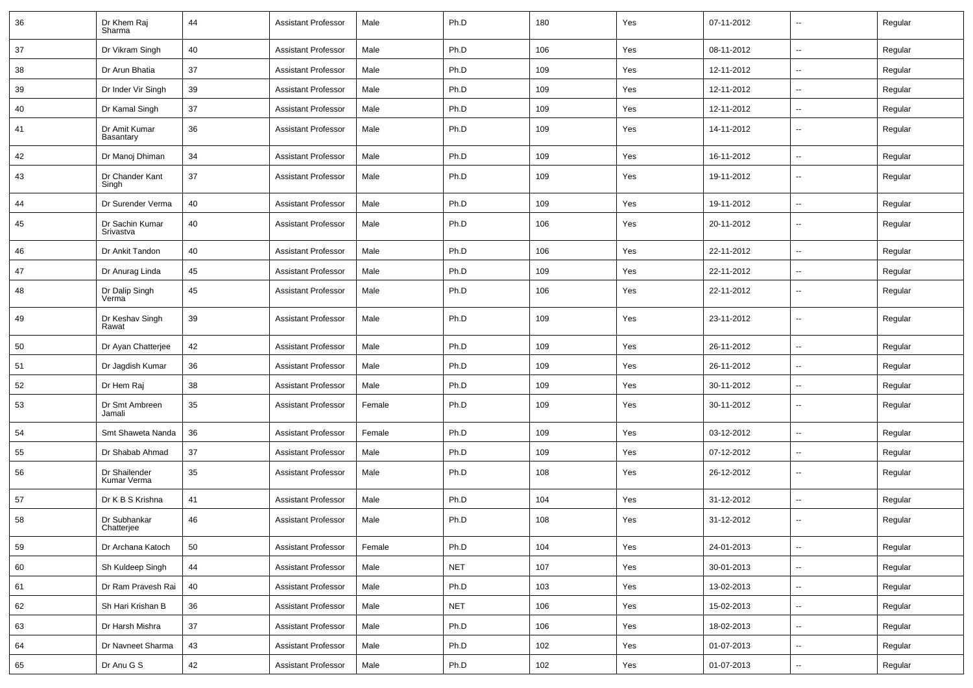| 36 | Dr Khem Raj<br>Sharma        | 44 | <b>Assistant Professor</b> | Male   | Ph.D       | 180 | Yes | 07-11-2012 | $\sim$                   | Regular |
|----|------------------------------|----|----------------------------|--------|------------|-----|-----|------------|--------------------------|---------|
| 37 | Dr Vikram Singh              | 40 | <b>Assistant Professor</b> | Male   | Ph.D       | 106 | Yes | 08-11-2012 | $\sim$                   | Regular |
| 38 | Dr Arun Bhatia               | 37 | <b>Assistant Professor</b> | Male   | Ph.D       | 109 | Yes | 12-11-2012 | $\overline{\phantom{a}}$ | Regular |
| 39 | Dr Inder Vir Singh           | 39 | <b>Assistant Professor</b> | Male   | Ph.D       | 109 | Yes | 12-11-2012 | $\overline{\phantom{a}}$ | Regular |
| 40 | Dr Kamal Singh               | 37 | <b>Assistant Professor</b> | Male   | Ph.D       | 109 | Yes | 12-11-2012 | $\overline{\phantom{a}}$ | Regular |
| 41 | Dr Amit Kumar<br>Basantary   | 36 | <b>Assistant Professor</b> | Male   | Ph.D       | 109 | Yes | 14-11-2012 | --                       | Regular |
| 42 | Dr Manoj Dhiman              | 34 | <b>Assistant Professor</b> | Male   | Ph.D       | 109 | Yes | 16-11-2012 | $\overline{\phantom{a}}$ | Regular |
| 43 | Dr Chander Kant<br>Singh     | 37 | <b>Assistant Professor</b> | Male   | Ph.D       | 109 | Yes | 19-11-2012 | $\sim$                   | Regular |
| 44 | Dr Surender Verma            | 40 | <b>Assistant Professor</b> | Male   | Ph.D       | 109 | Yes | 19-11-2012 | $\sim$                   | Regular |
| 45 | Dr Sachin Kumar<br>Srivastva | 40 | <b>Assistant Professor</b> | Male   | Ph.D       | 106 | Yes | 20-11-2012 | $\overline{\phantom{a}}$ | Regular |
| 46 | Dr Ankit Tandon              | 40 | <b>Assistant Professor</b> | Male   | Ph.D       | 106 | Yes | 22-11-2012 | $\sim$                   | Regular |
| 47 | Dr Anurag Linda              | 45 | <b>Assistant Professor</b> | Male   | Ph.D       | 109 | Yes | 22-11-2012 | $\overline{\phantom{a}}$ | Regular |
| 48 | Dr Dalip Singh<br>Verma      | 45 | <b>Assistant Professor</b> | Male   | Ph.D       | 106 | Yes | 22-11-2012 | $\overline{\phantom{a}}$ | Regular |
| 49 | Dr Keshav Singh<br>Rawat     | 39 | <b>Assistant Professor</b> | Male   | Ph.D       | 109 | Yes | 23-11-2012 | --                       | Regular |
| 50 | Dr Ayan Chatterjee           | 42 | <b>Assistant Professor</b> | Male   | Ph.D       | 109 | Yes | 26-11-2012 | $\overline{\phantom{a}}$ | Regular |
| 51 | Dr Jagdish Kumar             | 36 | <b>Assistant Professor</b> | Male   | Ph.D       | 109 | Yes | 26-11-2012 | $\overline{\phantom{a}}$ | Regular |
| 52 | Dr Hem Raj                   | 38 | <b>Assistant Professor</b> | Male   | Ph.D       | 109 | Yes | 30-11-2012 | $\overline{\phantom{a}}$ | Regular |
| 53 | Dr Smt Ambreen<br>Jamali     | 35 | <b>Assistant Professor</b> | Female | Ph.D       | 109 | Yes | 30-11-2012 | $\sim$                   | Regular |
| 54 | Smt Shaweta Nanda            | 36 | <b>Assistant Professor</b> | Female | Ph.D       | 109 | Yes | 03-12-2012 | $\overline{\phantom{a}}$ | Regular |
| 55 | Dr Shabab Ahmad              | 37 | <b>Assistant Professor</b> | Male   | Ph.D       | 109 | Yes | 07-12-2012 | $\overline{\phantom{a}}$ | Regular |
| 56 | Dr Shailender<br>Kumar Verma | 35 | <b>Assistant Professor</b> | Male   | Ph.D       | 108 | Yes | 26-12-2012 | --                       | Regular |
| 57 | Dr K B S Krishna             | 41 | <b>Assistant Professor</b> | Male   | Ph.D       | 104 | Yes | 31-12-2012 | $\overline{\phantom{a}}$ | Regular |
| 58 | Dr Subhankar<br>Chatterjee   | 46 | <b>Assistant Professor</b> | Male   | Ph.D       | 108 | Yes | 31-12-2012 | $\overline{\phantom{a}}$ | Regular |
| 59 | Dr Archana Katoch            | 50 | <b>Assistant Professor</b> | Female | Ph.D       | 104 | Yes | 24-01-2013 | $\sim$                   | Regular |
| 60 | Sh Kuldeep Singh             | 44 | <b>Assistant Professor</b> | Male   | <b>NET</b> | 107 | Yes | 30-01-2013 | $\sim$                   | Regular |
| 61 | Dr Ram Pravesh Rai           | 40 | <b>Assistant Professor</b> | Male   | Ph.D       | 103 | Yes | 13-02-2013 | $\sim$                   | Regular |
| 62 | Sh Hari Krishan B            | 36 | <b>Assistant Professor</b> | Male   | <b>NET</b> | 106 | Yes | 15-02-2013 | $\sim$                   | Regular |
| 63 | Dr Harsh Mishra              | 37 | <b>Assistant Professor</b> | Male   | Ph.D       | 106 | Yes | 18-02-2013 | $\sim$                   | Regular |
| 64 | Dr Navneet Sharma            | 43 | Assistant Professor        | Male   | Ph.D       | 102 | Yes | 01-07-2013 | $\sim$                   | Regular |
| 65 | Dr Anu G S                   | 42 | <b>Assistant Professor</b> | Male   | Ph.D       | 102 | Yes | 01-07-2013 | $\sim$                   | Regular |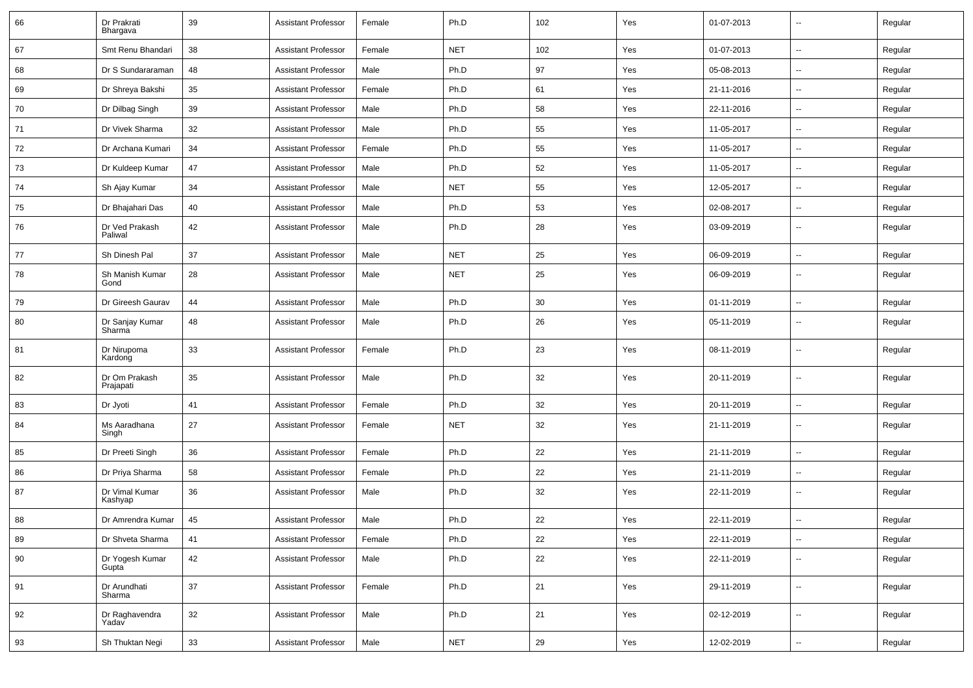| 66         | Dr Prakrati<br>Bhargava    | 39 | <b>Assistant Professor</b> | Female | Ph.D       | 102 | Yes | 01-07-2013 | -−                       | Regular |
|------------|----------------------------|----|----------------------------|--------|------------|-----|-----|------------|--------------------------|---------|
| 67         | Smt Renu Bhandari          | 38 | <b>Assistant Professor</b> | Female | <b>NET</b> | 102 | Yes | 01-07-2013 | н.                       | Regular |
| 68         | Dr S Sundararaman          | 48 | <b>Assistant Professor</b> | Male   | Ph.D       | 97  | Yes | 05-08-2013 | $\overline{\phantom{a}}$ | Regular |
| 69         | Dr Shreya Bakshi           | 35 | <b>Assistant Professor</b> | Female | Ph.D       | 61  | Yes | 21-11-2016 | --                       | Regular |
| 70         | Dr Dilbag Singh            | 39 | <b>Assistant Professor</b> | Male   | Ph.D       | 58  | Yes | 22-11-2016 | --                       | Regular |
| 71         | Dr Vivek Sharma            | 32 | <b>Assistant Professor</b> | Male   | Ph.D       | 55  | Yes | 11-05-2017 | $\mathbf{u}$             | Regular |
| 72         | Dr Archana Kumari          | 34 | <b>Assistant Professor</b> | Female | Ph.D       | 55  | Yes | 11-05-2017 | $\overline{\phantom{a}}$ | Regular |
| 73         | Dr Kuldeep Kumar           | 47 | <b>Assistant Professor</b> | Male   | Ph.D       | 52  | Yes | 11-05-2017 | н.                       | Regular |
| 74         | Sh Ajay Kumar              | 34 | <b>Assistant Professor</b> | Male   | <b>NET</b> | 55  | Yes | 12-05-2017 | $\overline{\phantom{a}}$ | Regular |
| 75         | Dr Bhajahari Das           | 40 | <b>Assistant Professor</b> | Male   | Ph.D       | 53  | Yes | 02-08-2017 | --                       | Regular |
| 76         | Dr Ved Prakash<br>Paliwal  | 42 | <b>Assistant Professor</b> | Male   | Ph.D       | 28  | Yes | 03-09-2019 | -−                       | Regular |
| 77         | Sh Dinesh Pal              | 37 | <b>Assistant Professor</b> | Male   | <b>NET</b> | 25  | Yes | 06-09-2019 | -−                       | Regular |
| 78         | Sh Manish Kumar<br>Gond    | 28 | <b>Assistant Professor</b> | Male   | <b>NET</b> | 25  | Yes | 06-09-2019 | Ξ.                       | Regular |
| 79         | Dr Gireesh Gaurav          | 44 | <b>Assistant Professor</b> | Male   | Ph.D       | 30  | Yes | 01-11-2019 | Ξ.                       | Regular |
| 80         | Dr Sanjay Kumar<br>Sharma  | 48 | <b>Assistant Professor</b> | Male   | Ph.D       | 26  | Yes | 05-11-2019 | $\overline{\phantom{a}}$ | Regular |
| 81         | Dr Nirupoma<br>Kardong     | 33 | <b>Assistant Professor</b> | Female | Ph.D       | 23  | Yes | 08-11-2019 | $\overline{\phantom{a}}$ | Regular |
| 82         | Dr Om Prakash<br>Prajapati | 35 | <b>Assistant Professor</b> | Male   | Ph.D       | 32  | Yes | 20-11-2019 | $\overline{\phantom{a}}$ | Regular |
| 83         | Dr Jyoti                   | 41 | <b>Assistant Professor</b> | Female | Ph.D       | 32  | Yes | 20-11-2019 | Щ,                       | Regular |
| 84         | Ms Aaradhana<br>Singh      | 27 | <b>Assistant Professor</b> | Female | <b>NET</b> | 32  | Yes | 21-11-2019 | ⊷.                       | Regular |
| 85         | Dr Preeti Singh            | 36 | <b>Assistant Professor</b> | Female | Ph.D       | 22  | Yes | 21-11-2019 | н.                       | Regular |
| 86         | Dr Priya Sharma            | 58 | <b>Assistant Professor</b> | Female | Ph.D       | 22  | Yes | 21-11-2019 | ⊷.                       | Regular |
| 87         | Dr Vimal Kumar<br>Kashyap  | 36 | <b>Assistant Professor</b> | Male   | Ph.D       | 32  | Yes | 22-11-2019 | $\overline{\phantom{a}}$ | Regular |
| 88         | Dr Amrendra Kumar          | 45 | <b>Assistant Professor</b> | Male   | Ph.D       | 22  | Yes | 22-11-2019 |                          | Regular |
| ${\bf 89}$ | Dr Shveta Sharma           | 41 | <b>Assistant Professor</b> | Female | Ph.D       | 22  | Yes | 22-11-2019 | Щ,                       | Regular |
| 90         | Dr Yogesh Kumar<br>Gupta   | 42 | <b>Assistant Professor</b> | Male   | Ph.D       | 22  | Yes | 22-11-2019 | Щ,                       | Regular |
| 91         | Dr Arundhati<br>Sharma     | 37 | <b>Assistant Professor</b> | Female | Ph.D       | 21  | Yes | 29-11-2019 | u.                       | Regular |
| 92         | Dr Raghavendra<br>Yadav    | 32 | <b>Assistant Professor</b> | Male   | Ph.D       | 21  | Yes | 02-12-2019 | ц,                       | Regular |
| 93         | Sh Thuktan Negi            | 33 | <b>Assistant Professor</b> | Male   | <b>NET</b> | 29  | Yes | 12-02-2019 | $\sim$                   | Regular |